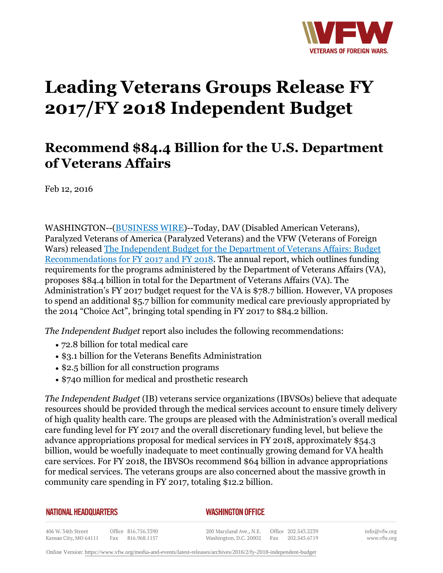

# **Leading Veterans Groups Release FY 2017/FY 2018 Independent Budget**

## **Recommend \$84.4 Billion for the U.S. Department of Veterans Affairs**

Feb 12, 2016

WASHINGTON--(BUSINESS WIRE)--Today, DAV (Disabled American Veterans), Paralyzed Veterans of America (Paralyzed Veterans) and the VFW (Veterans of Foreign Wars) released The Independent Budget for the Department of Veterans Affairs: Budget Recommendations for FY 2017 and FY 2018. The annual report, which outlines funding requirements for the programs administered by the Department of Veterans Affairs (VA), proposes \$84.4 billion in total for the Department of Veterans Affairs (VA). The Administration's FY 2017 budget request for the VA is \$78.7 billion. However, VA proposes to spend an additional \$5.7 billion for community medical care previously appropriated by the 2014 "Choice Act", bringing total spending in FY 2017 to \$84.2 billion.

*The Independent Budget* report also includes the following recommendations:

- 72.8 billion for total medical care
- \$3.1 billion for the Veterans Benefits Administration
- \$2.5 billion for all construction programs
- \$740 million for medical and prosthetic research

*The Independent Budget* (IB) veterans service organizations (IBVSOs) believe that adequate resources should be provided through the medical services account to ensure timely delivery of high quality health care. The groups are pleased with the Administration's overall medical care funding level for FY 2017 and the overall discretionary funding level, but believe the advance appropriations proposal for medical services in FY 2018, approximately \$54.3 billion, would be woefully inadequate to meet continually growing demand for VA health care services. For FY 2018, the IBVSOs recommend \$64 billion in advance appropriations for medical services. The veterans groups are also concerned about the massive growth in community care spending in FY 2017, totaling \$12.2 billion.

**NATIONAL HEADQUARTERS** 

#### *WASHINGTON OFFICE*

406 W. 34th Street Office 816.756.3390 Kansas City, MO 64111 Fax 816.968.1157

200 Maryland Ave., N.E. Office 202.543.2239 Washington, D.C. 20002 Fax 202.543.6719 info@vfw.org www.vfw.org

Online Version:<https://www.vfw.org/media-and-events/latest-releases/archives/2016/2/fy-2018-independent-budget>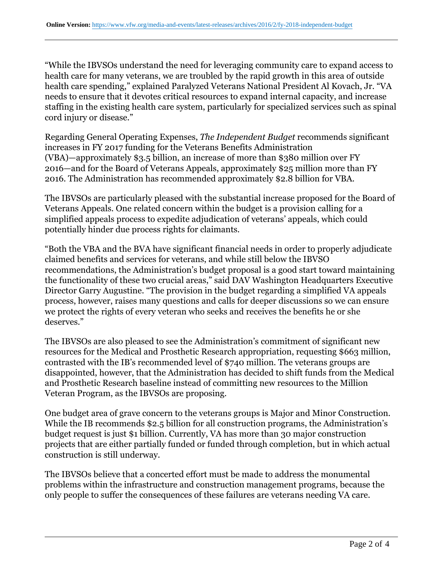"While the IBVSOs understand the need for leveraging community care to expand access to health care for many veterans, we are troubled by the rapid growth in this area of outside health care spending," explained Paralyzed Veterans National President Al Kovach, Jr. "VA needs to ensure that it devotes critical resources to expand internal capacity, and increase staffing in the existing health care system, particularly for specialized services such as spinal cord injury or disease."

Regarding General Operating Expenses, *The Independent Budget* recommends significant increases in FY 2017 funding for the Veterans Benefits Administration (VBA)—approximately \$3.5 billion, an increase of more than \$380 million over FY 2016—and for the Board of Veterans Appeals, approximately \$25 million more than FY 2016. The Administration has recommended approximately \$2.8 billion for VBA.

The IBVSOs are particularly pleased with the substantial increase proposed for the Board of Veterans Appeals. One related concern within the budget is a provision calling for a simplified appeals process to expedite adjudication of veterans' appeals, which could potentially hinder due process rights for claimants.

"Both the VBA and the BVA have significant financial needs in order to properly adjudicate claimed benefits and services for veterans, and while still below the IBVSO recommendations, the Administration's budget proposal is a good start toward maintaining the functionality of these two crucial areas," said DAV Washington Headquarters Executive Director Garry Augustine. "The provision in the budget regarding a simplified VA appeals process, however, raises many questions and calls for deeper discussions so we can ensure we protect the rights of every veteran who seeks and receives the benefits he or she deserves."

The IBVSOs are also pleased to see the Administration's commitment of significant new resources for the Medical and Prosthetic Research appropriation, requesting \$663 million, contrasted with the IB's recommended level of \$740 million. The veterans groups are disappointed, however, that the Administration has decided to shift funds from the Medical and Prosthetic Research baseline instead of committing new resources to the Million Veteran Program, as the IBVSOs are proposing.

One budget area of grave concern to the veterans groups is Major and Minor Construction. While the IB recommends \$2.5 billion for all construction programs, the Administration's budget request is just \$1 billion. Currently, VA has more than 30 major construction projects that are either partially funded or funded through completion, but in which actual construction is still underway.

The IBVSOs believe that a concerted effort must be made to address the monumental problems within the infrastructure and construction management programs, because the only people to suffer the consequences of these failures are veterans needing VA care.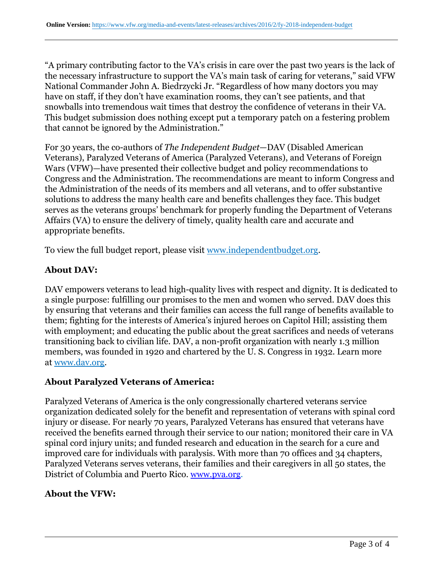"A primary contributing factor to the VA's crisis in care over the past two years is the lack of the necessary infrastructure to support the VA's main task of caring for veterans," said VFW National Commander John A. Biedrzycki Jr. "Regardless of how many doctors you may have on staff, if they don't have examination rooms, they can't see patients, and that snowballs into tremendous wait times that destroy the confidence of veterans in their VA. This budget submission does nothing except put a temporary patch on a festering problem that cannot be ignored by the Administration."

For 30 years, the co-authors of *The Independent Budget*—DAV (Disabled American Veterans), Paralyzed Veterans of America (Paralyzed Veterans), and Veterans of Foreign Wars (VFW)—have presented their collective budget and policy recommendations to Congress and the Administration. The recommendations are meant to inform Congress and the Administration of the needs of its members and all veterans, and to offer substantive solutions to address the many health care and benefits challenges they face. This budget serves as the veterans groups' benchmark for properly funding the Department of Veterans Affairs (VA) to ensure the delivery of timely, quality health care and accurate and appropriate benefits.

To view the full budget report, please visit www.independentbudget.org.

#### **About DAV:**

DAV empowers veterans to lead high-quality lives with respect and dignity. It is dedicated to a single purpose: fulfilling our promises to the men and women who served. DAV does this by ensuring that veterans and their families can access the full range of benefits available to them; fighting for the interests of America's injured heroes on Capitol Hill; assisting them with employment; and educating the public about the great sacrifices and needs of veterans transitioning back to civilian life. DAV, a non-profit organization with nearly 1.3 million members, was founded in 1920 and chartered by the U. S. Congress in 1932. Learn more at www.dav.org.

#### **About Paralyzed Veterans of America:**

Paralyzed Veterans of America is the only congressionally chartered veterans service organization dedicated solely for the benefit and representation of veterans with spinal cord injury or disease. For nearly 70 years, Paralyzed Veterans has ensured that veterans have received the benefits earned through their service to our nation; monitored their care in VA spinal cord injury units; and funded research and education in the search for a cure and improved care for individuals with paralysis. With more than 70 offices and 34 chapters, Paralyzed Veterans serves veterans, their families and their caregivers in all 50 states, the District of Columbia and Puerto Rico. [www.pva.org.](http:http://cts.businesswire.com/ct/CT)

### **About the VFW:**